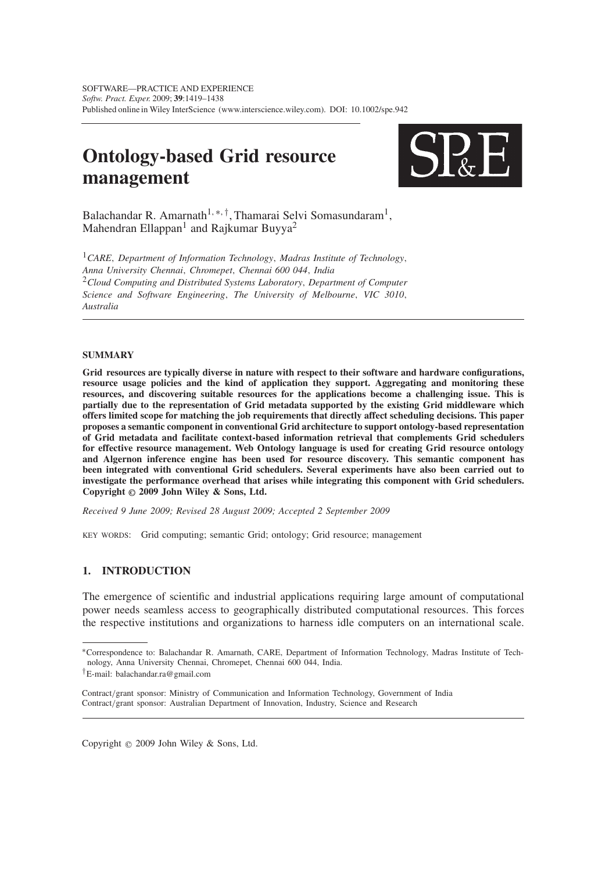# **Ontology-based Grid resource management**



Balachandar R. Amarnath<sup>1,\*,†</sup>, Thamarai Selvi Somasundaram<sup>1</sup>, Mahendran Ellappan<sup>1</sup> and Rajkumar Buyya<sup>2</sup>

<sup>1</sup>*CARE*, *Department of Information Technology*, *Madras Institute of Technology*, *Anna University Chennai*, *Chromepet*, *Chennai 600 044*, *India* <sup>2</sup>*Cloud Computing and Distributed Systems Laboratory*, *Department of Computer Science and Software Engineering*, *The University of Melbourne*, *VIC 3010*, *Australia*

#### **SUMMARY**

**Grid resources are typically diverse in nature with respect to their software and hardware configurations, resource usage policies and the kind of application they support. Aggregating and monitoring these resources, and discovering suitable resources for the applications become a challenging issue. This is partially due to the representation of Grid metadata supported by the existing Grid middleware which offers limited scope for matching the job requirements that directly affect scheduling decisions. This paper proposes a semantic component in conventional Grid architecture to support ontology-based representation of Grid metadata and facilitate context-based information retrieval that complements Grid schedulers for effective resource management. Web Ontology language is used for creating Grid resource ontology and Algernon inference engine has been used for resource discovery. This semantic component has been integrated with conventional Grid schedulers. Several experiments have also been carried out to investigate the performance overhead that arises while integrating this component with Grid schedulers. Copyright © 2009 John Wiley & Sons, Ltd.**

*Received 9 June 2009; Revised 28 August 2009; Accepted 2 September 2009*

KEY WORDS: Grid computing; semantic Grid; ontology; Grid resource; management

#### **1. INTRODUCTION**

The emergence of scientific and industrial applications requiring large amount of computational power needs seamless access to geographically distributed computational resources. This forces the respective institutions and organizations to harness idle computers on an international scale.

<sup>∗</sup>Correspondence to: Balachandar R. Amarnath, CARE, Department of Information Technology, Madras Institute of Technology, Anna University Chennai, Chromepet, Chennai 600 044, India.

<sup>†</sup>E-mail: balachandar.ra@gmail.com

Contract/grant sponsor: Ministry of Communication and Information Technology, Government of India Contract/grant sponsor: Australian Department of Innovation, Industry, Science and Research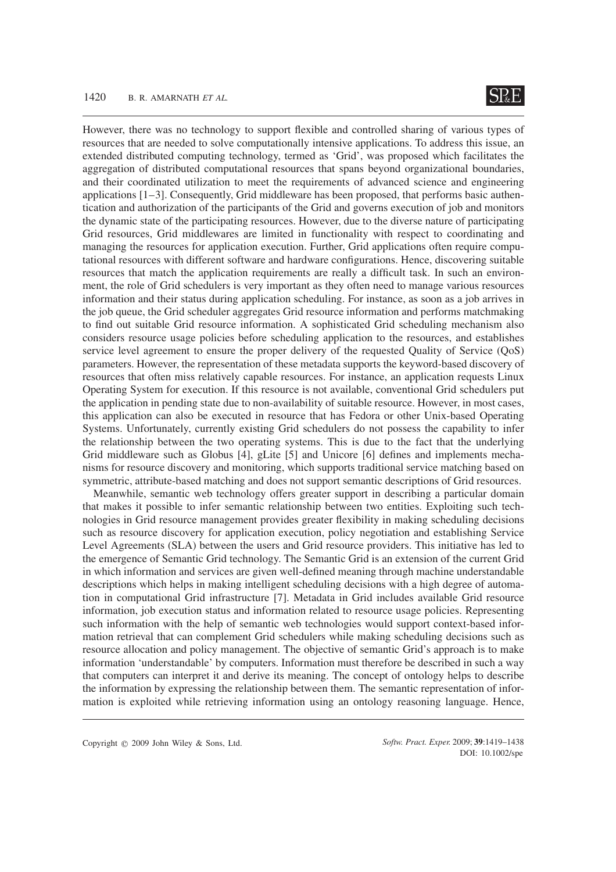## 1420 B. R. AMARNATH *ET AL.*

ISP.F

However, there was no technology to support flexible and controlled sharing of various types of resources that are needed to solve computationally intensive applications. To address this issue, an extended distributed computing technology, termed as 'Grid', was proposed which facilitates the aggregation of distributed computational resources that spans beyond organizational boundaries, and their coordinated utilization to meet the requirements of advanced science and engineering applications [1–3]. Consequently, Grid middleware has been proposed, that performs basic authentication and authorization of the participants of the Grid and governs execution of job and monitors the dynamic state of the participating resources. However, due to the diverse nature of participating Grid resources, Grid middlewares are limited in functionality with respect to coordinating and managing the resources for application execution. Further, Grid applications often require computational resources with different software and hardware configurations. Hence, discovering suitable resources that match the application requirements are really a difficult task. In such an environment, the role of Grid schedulers is very important as they often need to manage various resources information and their status during application scheduling. For instance, as soon as a job arrives in the job queue, the Grid scheduler aggregates Grid resource information and performs matchmaking to find out suitable Grid resource information. A sophisticated Grid scheduling mechanism also considers resource usage policies before scheduling application to the resources, and establishes service level agreement to ensure the proper delivery of the requested Quality of Service (QoS) parameters. However, the representation of these metadata supports the keyword-based discovery of resources that often miss relatively capable resources. For instance, an application requests Linux Operating System for execution. If this resource is not available, conventional Grid schedulers put the application in pending state due to non-availability of suitable resource. However, in most cases, this application can also be executed in resource that has Fedora or other Unix-based Operating Systems. Unfortunately, currently existing Grid schedulers do not possess the capability to infer the relationship between the two operating systems. This is due to the fact that the underlying Grid middleware such as Globus [4], gLite [5] and Unicore [6] defines and implements mechanisms for resource discovery and monitoring, which supports traditional service matching based on symmetric, attribute-based matching and does not support semantic descriptions of Grid resources.

Meanwhile, semantic web technology offers greater support in describing a particular domain that makes it possible to infer semantic relationship between two entities. Exploiting such technologies in Grid resource management provides greater flexibility in making scheduling decisions such as resource discovery for application execution, policy negotiation and establishing Service Level Agreements (SLA) between the users and Grid resource providers. This initiative has led to the emergence of Semantic Grid technology. The Semantic Grid is an extension of the current Grid in which information and services are given well-defined meaning through machine understandable descriptions which helps in making intelligent scheduling decisions with a high degree of automation in computational Grid infrastructure [7]. Metadata in Grid includes available Grid resource information, job execution status and information related to resource usage policies. Representing such information with the help of semantic web technologies would support context-based information retrieval that can complement Grid schedulers while making scheduling decisions such as resource allocation and policy management. The objective of semantic Grid's approach is to make information 'understandable' by computers. Information must therefore be described in such a way that computers can interpret it and derive its meaning. The concept of ontology helps to describe the information by expressing the relationship between them. The semantic representation of information is exploited while retrieving information using an ontology reasoning language. Hence,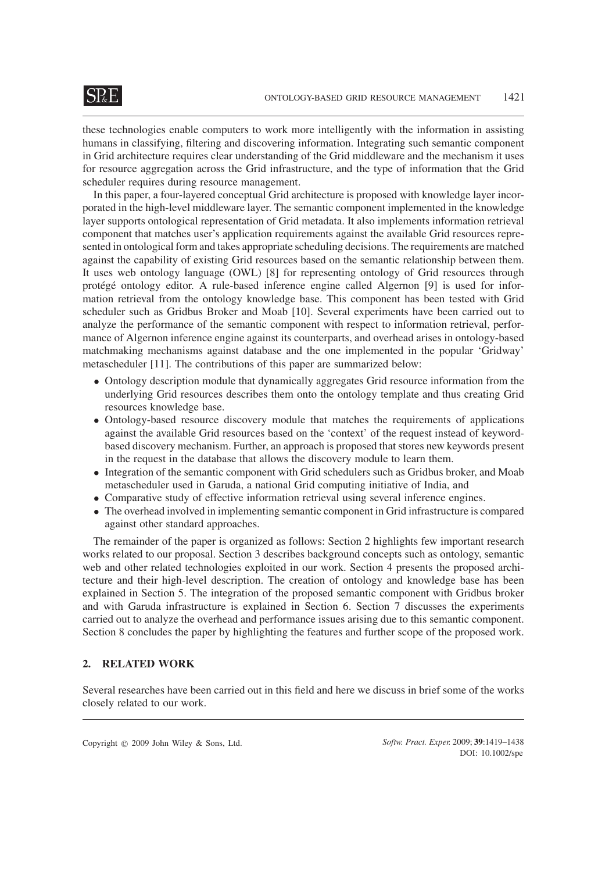# $\overline{\text{SPE}}$

these technologies enable computers to work more intelligently with the information in assisting humans in classifying, filtering and discovering information. Integrating such semantic component in Grid architecture requires clear understanding of the Grid middleware and the mechanism it uses for resource aggregation across the Grid infrastructure, and the type of information that the Grid scheduler requires during resource management.

In this paper, a four-layered conceptual Grid architecture is proposed with knowledge layer incorporated in the high-level middleware layer. The semantic component implemented in the knowledge layer supports ontological representation of Grid metadata. It also implements information retrieval component that matches user's application requirements against the available Grid resources represented in ontological form and takes appropriate scheduling decisions. The requirements are matched against the capability of existing Grid resources based on the semantic relationship between them. It uses web ontology language (OWL) [8] for representing ontology of Grid resources through protégé ontology editor. A rule-based inference engine called Algernon  $[9]$  is used for information retrieval from the ontology knowledge base. This component has been tested with Grid scheduler such as Gridbus Broker and Moab [10]. Several experiments have been carried out to analyze the performance of the semantic component with respect to information retrieval, performance of Algernon inference engine against its counterparts, and overhead arises in ontology-based matchmaking mechanisms against database and the one implemented in the popular 'Gridway' metascheduler [11]. The contributions of this paper are summarized below:

- Ontology description module that dynamically aggregates Grid resource information from the underlying Grid resources describes them onto the ontology template and thus creating Grid resources knowledge base.
- Ontology-based resource discovery module that matches the requirements of applications against the available Grid resources based on the 'context' of the request instead of keywordbased discovery mechanism. Further, an approach is proposed that stores new keywords present in the request in the database that allows the discovery module to learn them.
- Integration of the semantic component with Grid schedulers such as Gridbus broker, and Moab metascheduler used in Garuda, a national Grid computing initiative of India, and
- Comparative study of effective information retrieval using several inference engines.
- The overhead involved in implementing semantic component in Grid infrastructure is compared against other standard approaches.

The remainder of the paper is organized as follows: Section 2 highlights few important research works related to our proposal. Section 3 describes background concepts such as ontology, semantic web and other related technologies exploited in our work. Section 4 presents the proposed architecture and their high-level description. The creation of ontology and knowledge base has been explained in Section 5. The integration of the proposed semantic component with Gridbus broker and with Garuda infrastructure is explained in Section 6. Section 7 discusses the experiments carried out to analyze the overhead and performance issues arising due to this semantic component. Section 8 concludes the paper by highlighting the features and further scope of the proposed work.

## **2. RELATED WORK**

Several researches have been carried out in this field and here we discuss in brief some of the works closely related to our work.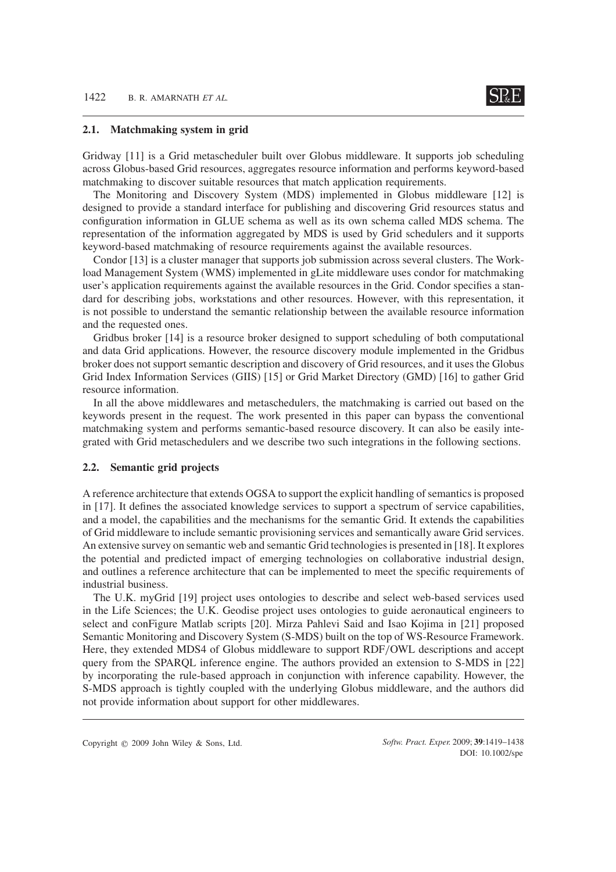#### **2.1. Matchmaking system in grid**

Gridway [11] is a Grid metascheduler built over Globus middleware. It supports job scheduling across Globus-based Grid resources, aggregates resource information and performs keyword-based matchmaking to discover suitable resources that match application requirements.

The Monitoring and Discovery System (MDS) implemented in Globus middleware [12] is designed to provide a standard interface for publishing and discovering Grid resources status and configuration information in GLUE schema as well as its own schema called MDS schema. The representation of the information aggregated by MDS is used by Grid schedulers and it supports keyword-based matchmaking of resource requirements against the available resources.

Condor [13] is a cluster manager that supports job submission across several clusters. The Workload Management System (WMS) implemented in gLite middleware uses condor for matchmaking user's application requirements against the available resources in the Grid. Condor specifies a standard for describing jobs, workstations and other resources. However, with this representation, it is not possible to understand the semantic relationship between the available resource information and the requested ones.

Gridbus broker [14] is a resource broker designed to support scheduling of both computational and data Grid applications. However, the resource discovery module implemented in the Gridbus broker does not support semantic description and discovery of Grid resources, and it uses the Globus Grid Index Information Services (GIIS) [15] or Grid Market Directory (GMD) [16] to gather Grid resource information.

In all the above middlewares and metaschedulers, the matchmaking is carried out based on the keywords present in the request. The work presented in this paper can bypass the conventional matchmaking system and performs semantic-based resource discovery. It can also be easily integrated with Grid metaschedulers and we describe two such integrations in the following sections.

#### **2.2. Semantic grid projects**

A reference architecture that extends OGSA to support the explicit handling of semantics is proposed in [17]. It defines the associated knowledge services to support a spectrum of service capabilities, and a model, the capabilities and the mechanisms for the semantic Grid. It extends the capabilities of Grid middleware to include semantic provisioning services and semantically aware Grid services. An extensive survey on semantic web and semantic Grid technologies is presented in [18]. It explores the potential and predicted impact of emerging technologies on collaborative industrial design, and outlines a reference architecture that can be implemented to meet the specific requirements of industrial business.

The U.K. myGrid [19] project uses ontologies to describe and select web-based services used in the Life Sciences; the U.K. Geodise project uses ontologies to guide aeronautical engineers to select and conFigure Matlab scripts [20]. Mirza Pahlevi Said and Isao Kojima in [21] proposed Semantic Monitoring and Discovery System (S-MDS) built on the top of WS-Resource Framework. Here, they extended MDS4 of Globus middleware to support RDF/OWL descriptions and accept query from the SPARQL inference engine. The authors provided an extension to S-MDS in [22] by incorporating the rule-based approach in conjunction with inference capability. However, the S-MDS approach is tightly coupled with the underlying Globus middleware, and the authors did not provide information about support for other middlewares.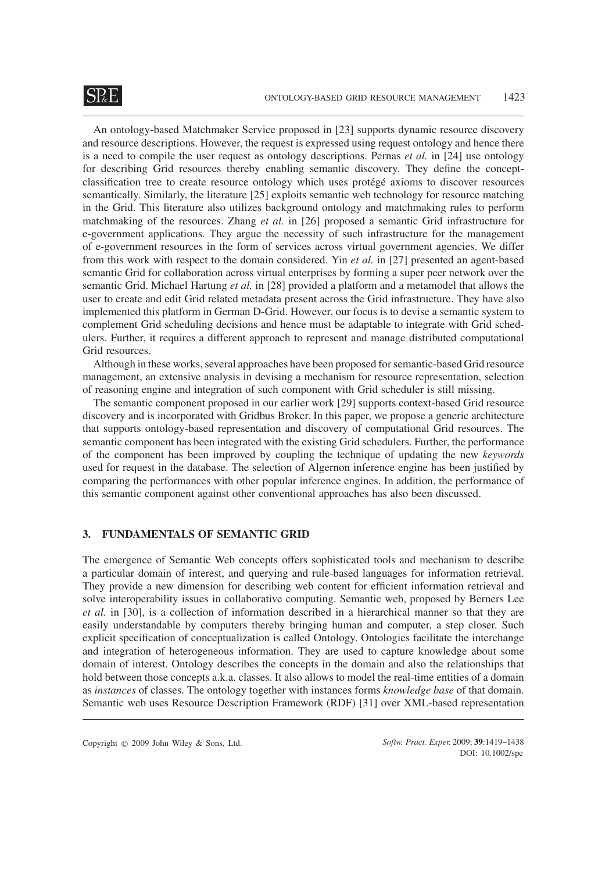## $|S_{\mathbb{R}}E|$

An ontology-based Matchmaker Service proposed in [23] supports dynamic resource discovery and resource descriptions. However, the request is expressed using request ontology and hence there is a need to compile the user request as ontology descriptions. Pernas *et al.* in [24] use ontology for describing Grid resources thereby enabling semantic discovery. They define the conceptclassification tree to create resource ontology which uses protégé axioms to discover resources semantically. Similarly, the literature [25] exploits semantic web technology for resource matching in the Grid. This literature also utilizes background ontology and matchmaking rules to perform matchmaking of the resources. Zhang *et al.* in [26] proposed a semantic Grid infrastructure for e-government applications. They argue the necessity of such infrastructure for the management of e-government resources in the form of services across virtual government agencies. We differ from this work with respect to the domain considered. Yin *et al.* in [27] presented an agent-based semantic Grid for collaboration across virtual enterprises by forming a super peer network over the semantic Grid. Michael Hartung *et al.* in [28] provided a platform and a metamodel that allows the user to create and edit Grid related metadata present across the Grid infrastructure. They have also implemented this platform in German D-Grid. However, our focus is to devise a semantic system to complement Grid scheduling decisions and hence must be adaptable to integrate with Grid schedulers. Further, it requires a different approach to represent and manage distributed computational Grid resources.

Although in these works, several approaches have been proposed for semantic-based Grid resource management, an extensive analysis in devising a mechanism for resource representation, selection of reasoning engine and integration of such component with Grid scheduler is still missing.

The semantic component proposed in our earlier work [29] supports context-based Grid resource discovery and is incorporated with Gridbus Broker. In this paper, we propose a generic architecture that supports ontology-based representation and discovery of computational Grid resources. The semantic component has been integrated with the existing Grid schedulers. Further, the performance of the component has been improved by coupling the technique of updating the new *keywords* used for request in the database. The selection of Algernon inference engine has been justified by comparing the performances with other popular inference engines. In addition, the performance of this semantic component against other conventional approaches has also been discussed.

#### **3. FUNDAMENTALS OF SEMANTIC GRID**

The emergence of Semantic Web concepts offers sophisticated tools and mechanism to describe a particular domain of interest, and querying and rule-based languages for information retrieval. They provide a new dimension for describing web content for efficient information retrieval and solve interoperability issues in collaborative computing. Semantic web, proposed by Berners Lee *et al.* in [30], is a collection of information described in a hierarchical manner so that they are easily understandable by computers thereby bringing human and computer, a step closer. Such explicit specification of conceptualization is called Ontology. Ontologies facilitate the interchange and integration of heterogeneous information. They are used to capture knowledge about some domain of interest. Ontology describes the concepts in the domain and also the relationships that hold between those concepts a.k.a. classes. It also allows to model the real-time entities of a domain as *instances* of classes. The ontology together with instances forms *knowledge base* of that domain. Semantic web uses Resource Description Framework (RDF) [31] over XML-based representation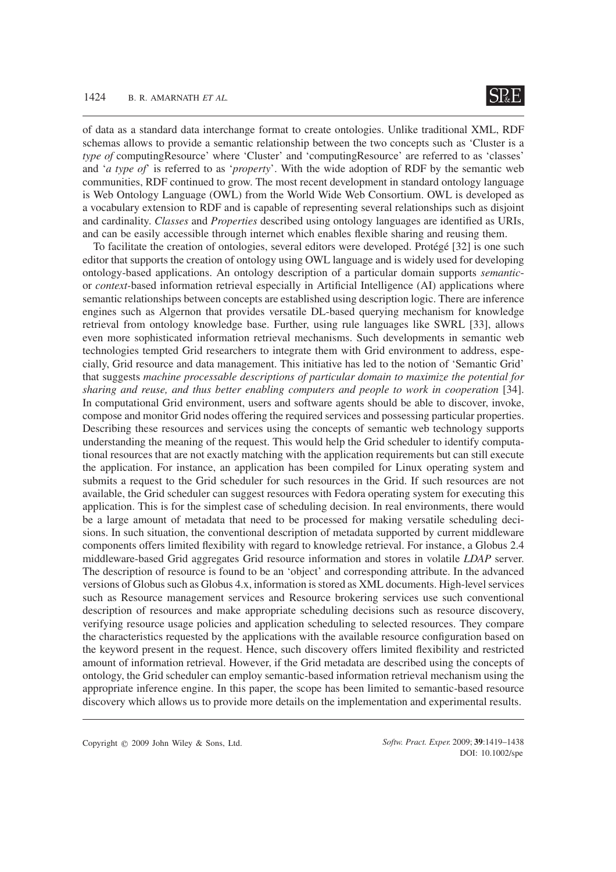## 1424 B. R. AMARNATH *ET AL.*

of data as a standard data interchange format to create ontologies. Unlike traditional XML, RDF schemas allows to provide a semantic relationship between the two concepts such as 'Cluster is a *type of* computingResource' where 'Cluster' and 'computingResource' are referred to as 'classes' and '*a type of*' is referred to as '*property*'. With the wide adoption of RDF by the semantic web communities, RDF continued to grow. The most recent development in standard ontology language is Web Ontology Language (OWL) from the World Wide Web Consortium. OWL is developed as a vocabulary extension to RDF and is capable of representing several relationships such as disjoint and cardinality. *Classes* and *Properties* described using ontology languages are identified as URIs, and can be easily accessible through internet which enables flexible sharing and reusing them.

To facilitate the creation of ontologies, several editors were developed. Protégé  $[32]$  is one such editor that supports the creation of ontology using OWL language and is widely used for developing ontology-based applications. An ontology description of a particular domain supports *semantic*or *context-*based information retrieval especially in Artificial Intelligence (AI) applications where semantic relationships between concepts are established using description logic. There are inference engines such as Algernon that provides versatile DL-based querying mechanism for knowledge retrieval from ontology knowledge base. Further, using rule languages like SWRL [33], allows even more sophisticated information retrieval mechanisms. Such developments in semantic web technologies tempted Grid researchers to integrate them with Grid environment to address, especially, Grid resource and data management. This initiative has led to the notion of 'Semantic Grid' that suggests *machine processable descriptions of particular domain to maximize the potential for sharing and reuse, and thus better enabling computers and people to work in cooperation* [34]. In computational Grid environment, users and software agents should be able to discover, invoke, compose and monitor Grid nodes offering the required services and possessing particular properties. Describing these resources and services using the concepts of semantic web technology supports understanding the meaning of the request. This would help the Grid scheduler to identify computational resources that are not exactly matching with the application requirements but can still execute the application. For instance, an application has been compiled for Linux operating system and submits a request to the Grid scheduler for such resources in the Grid. If such resources are not available, the Grid scheduler can suggest resources with Fedora operating system for executing this application. This is for the simplest case of scheduling decision. In real environments, there would be a large amount of metadata that need to be processed for making versatile scheduling decisions. In such situation, the conventional description of metadata supported by current middleware components offers limited flexibility with regard to knowledge retrieval. For instance, a Globus 2.4 middleware-based Grid aggregates Grid resource information and stores in volatile *LDAP* server. The description of resource is found to be an 'object' and corresponding attribute. In the advanced versions of Globus such as Globus 4.x, information is stored as XML documents. High-level services such as Resource management services and Resource brokering services use such conventional description of resources and make appropriate scheduling decisions such as resource discovery, verifying resource usage policies and application scheduling to selected resources. They compare the characteristics requested by the applications with the available resource configuration based on the keyword present in the request. Hence, such discovery offers limited flexibility and restricted amount of information retrieval. However, if the Grid metadata are described using the concepts of ontology, the Grid scheduler can employ semantic-based information retrieval mechanism using the appropriate inference engine. In this paper, the scope has been limited to semantic-based resource discovery which allows us to provide more details on the implementation and experimental results.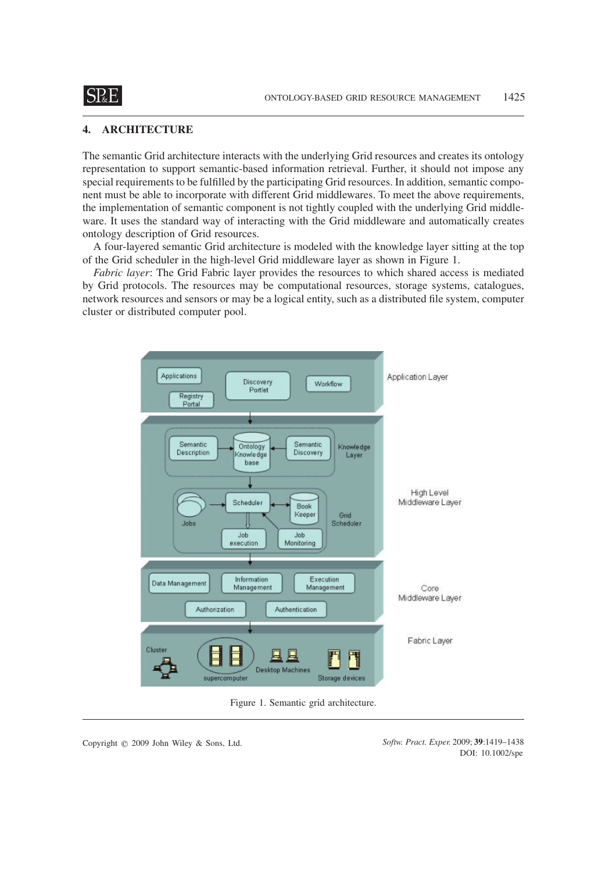## **4. ARCHITECTURE**

The semantic Grid architecture interacts with the underlying Grid resources and creates its ontology representation to support semantic-based information retrieval. Further, it should not impose any special requirements to be fulfilled by the participating Grid resources. In addition, semantic component must be able to incorporate with different Grid middlewares. To meet the above requirements, the implementation of semantic component is not tightly coupled with the underlying Grid middleware. It uses the standard way of interacting with the Grid middleware and automatically creates ontology description of Grid resources.

A four-layered semantic Grid architecture is modeled with the knowledge layer sitting at the top of the Grid scheduler in the high-level Grid middleware layer as shown in Figure 1.

*Fabric layer*: The Grid Fabric layer provides the resources to which shared access is mediated by Grid protocols. The resources may be computational resources, storage systems, catalogues, network resources and sensors or may be a logical entity, such as a distributed file system, computer cluster or distributed computer pool.



Figure 1. Semantic grid architecture.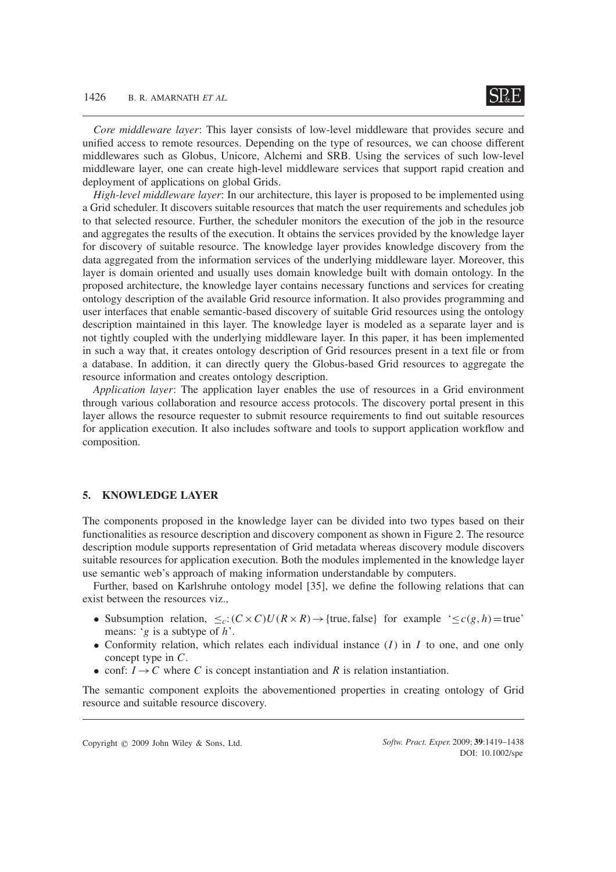### 1426 B. R. AMARNATH *ET AL.*

*Core middleware layer*: This layer consists of low-level middleware that provides secure and unified access to remote resources. Depending on the type of resources, we can choose different middlewares such as Globus, Unicore, Alchemi and SRB. Using the services of such low-level middleware layer, one can create high-level middleware services that support rapid creation and deployment of applications on global Grids.

*High-level middleware layer*: In our architecture, this layer is proposed to be implemented using a Grid scheduler. It discovers suitable resources that match the user requirements and schedules job to that selected resource. Further, the scheduler monitors the execution of the job in the resource and aggregates the results of the execution. It obtains the services provided by the knowledge layer for discovery of suitable resource. The knowledge layer provides knowledge discovery from the data aggregated from the information services of the underlying middleware layer. Moreover, this layer is domain oriented and usually uses domain knowledge built with domain ontology. In the proposed architecture, the knowledge layer contains necessary functions and services for creating ontology description of the available Grid resource information. It also provides programming and user interfaces that enable semantic-based discovery of suitable Grid resources using the ontology description maintained in this layer. The knowledge layer is modeled as a separate layer and is not tightly coupled with the underlying middleware layer. In this paper, it has been implemented in such a way that, it creates ontology description of Grid resources present in a text file or from a database. In addition, it can directly query the Globus-based Grid resources to aggregate the resource information and creates ontology description.

*Application layer*: The application layer enables the use of resources in a Grid environment through various collaboration and resource access protocols. The discovery portal present in this layer allows the resource requester to submit resource requirements to find out suitable resources for application execution. It also includes software and tools to support application workflow and composition.

## **5. KNOWLEDGE LAYER**

The components proposed in the knowledge layer can be divided into two types based on their functionalities as resource description and discovery component as shown in Figure 2. The resource description module supports representation of Grid metadata whereas discovery module discovers suitable resources for application execution. Both the modules implemented in the knowledge layer use semantic web's approach of making information understandable by computers.

Further, based on Karlshruhe ontology model [35], we define the following relations that can exist between the resources viz.,

- Subsumption relation,  $\leq_c$ : $(C \times C)U(R \times R) \rightarrow$  {true, false} for example  $\leq c(g, h)$ =true' means: '*g* is a subtype of *h*'.
- Conformity relation, which relates each individual instance (*I*) in *I* to one, and one only concept type in *C*.
- conf:  $I \rightarrow C$  where *C* is concept instantiation and *R* is relation instantiation.

The semantic component exploits the abovementioned properties in creating ontology of Grid resource and suitable resource discovery.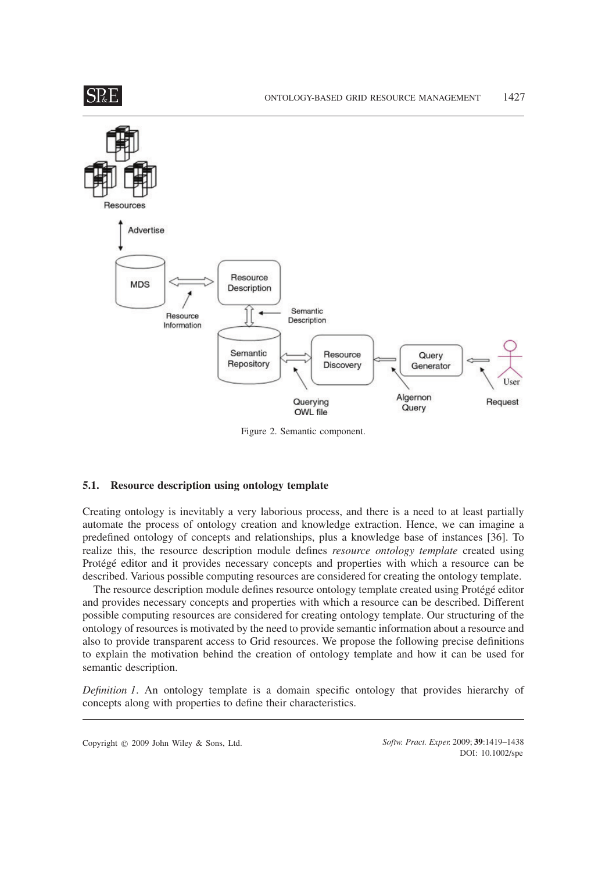



Figure 2. Semantic component.

#### **5.1. Resource description using ontology template**

Creating ontology is inevitably a very laborious process, and there is a need to at least partially automate the process of ontology creation and knowledge extraction. Hence, we can imagine a predefined ontology of concepts and relationships, plus a knowledge base of instances [36]. To realize this, the resource description module defines *resource ontology template* created using Protégé editor and it provides necessary concepts and properties with which a resource can be described. Various possible computing resources are considered for creating the ontology template.

The resource description module defines resource ontology template created using Protégé editor and provides necessary concepts and properties with which a resource can be described. Different possible computing resources are considered for creating ontology template. Our structuring of the ontology of resources is motivated by the need to provide semantic information about a resource and also to provide transparent access to Grid resources. We propose the following precise definitions to explain the motivation behind the creation of ontology template and how it can be used for semantic description.

*Definition 1*. An ontology template is a domain specific ontology that provides hierarchy of concepts along with properties to define their characteristics.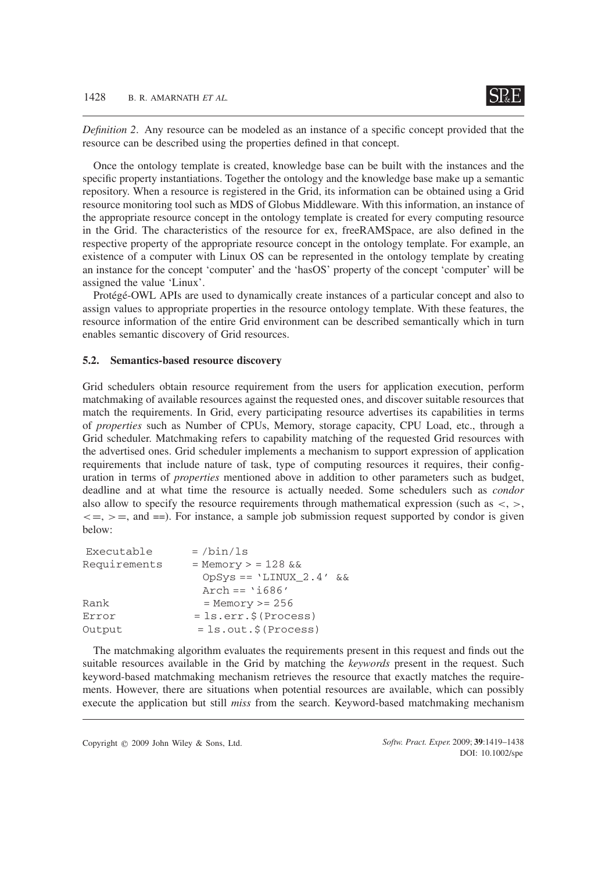*Definition 2*. Any resource can be modeled as an instance of a specific concept provided that the resource can be described using the properties defined in that concept.

Once the ontology template is created, knowledge base can be built with the instances and the specific property instantiations. Together the ontology and the knowledge base make up a semantic repository. When a resource is registered in the Grid, its information can be obtained using a Grid resource monitoring tool such as MDS of Globus Middleware. With this information, an instance of the appropriate resource concept in the ontology template is created for every computing resource in the Grid. The characteristics of the resource for ex, freeRAMSpace, are also defined in the respective property of the appropriate resource concept in the ontology template. For example, an existence of a computer with Linux OS can be represented in the ontology template by creating an instance for the concept 'computer' and the 'hasOS' property of the concept 'computer' will be assigned the value 'Linux'.

Protégé-OWL APIs are used to dynamically create instances of a particular concept and also to assign values to appropriate properties in the resource ontology template. With these features, the resource information of the entire Grid environment can be described semantically which in turn enables semantic discovery of Grid resources.

#### **5.2. Semantics-based resource discovery**

Grid schedulers obtain resource requirement from the users for application execution, perform matchmaking of available resources against the requested ones, and discover suitable resources that match the requirements. In Grid, every participating resource advertises its capabilities in terms of *properties* such as Number of CPUs, Memory, storage capacity, CPU Load, etc., through a Grid scheduler. Matchmaking refers to capability matching of the requested Grid resources with the advertised ones. Grid scheduler implements a mechanism to support expression of application requirements that include nature of task, type of computing resources it requires, their configuration in terms of *properties* mentioned above in addition to other parameters such as budget, deadline and at what time the resource is actually needed. Some schedulers such as *condor* also allow to specify the resource requirements through mathematical expression (such as  $\lt$ ,  $\gt$ ,  $\epsilon =$ ,  $>$  =, and ==). For instance, a sample job submission request supported by condor is given below:

| $=$ /bin/ls                  |  |
|------------------------------|--|
| $=$ Memory $>$ = 128 & &     |  |
| OpSys == 'LINUX $2.4'$ & &   |  |
| $Arch == 'i686'$             |  |
| $=$ Memory >= 256            |  |
| $= 1s.err.$ \$ (Process)     |  |
| $=$ $ls.out .$ $s$ (Process) |  |
|                              |  |

The matchmaking algorithm evaluates the requirements present in this request and finds out the suitable resources available in the Grid by matching the *keywords* present in the request. Such keyword-based matchmaking mechanism retrieves the resource that exactly matches the requirements. However, there are situations when potential resources are available, which can possibly execute the application but still *miss* from the search. Keyword-based matchmaking mechanism

Copyright 2009 John Wiley & Sons, Ltd. *Softw. Pract. Exper.* 2009; **39**:1419–1438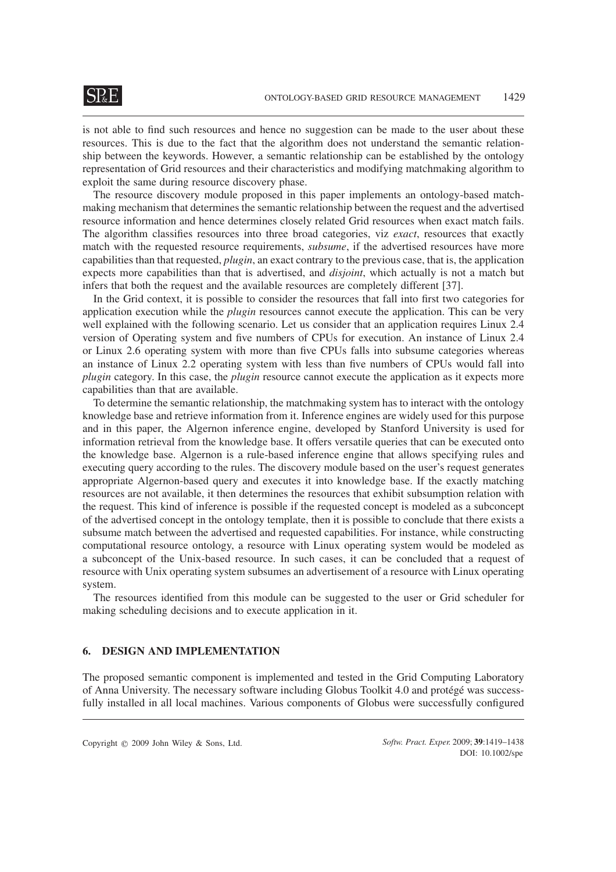## $\overline{\text{SRe}}$

is not able to find such resources and hence no suggestion can be made to the user about these resources. This is due to the fact that the algorithm does not understand the semantic relationship between the keywords. However, a semantic relationship can be established by the ontology representation of Grid resources and their characteristics and modifying matchmaking algorithm to exploit the same during resource discovery phase.

The resource discovery module proposed in this paper implements an ontology-based matchmaking mechanism that determines the semantic relationship between the request and the advertised resource information and hence determines closely related Grid resources when exact match fails. The algorithm classifies resources into three broad categories, viz *exact*, resources that exactly match with the requested resource requirements, *subsume*, if the advertised resources have more capabilities than that requested, *plugin*, an exact contrary to the previous case, that is, the application expects more capabilities than that is advertised, and *disjoint*, which actually is not a match but infers that both the request and the available resources are completely different [37].

In the Grid context, it is possible to consider the resources that fall into first two categories for application execution while the *plugin* resources cannot execute the application. This can be very well explained with the following scenario. Let us consider that an application requires Linux 2.4 version of Operating system and five numbers of CPUs for execution. An instance of Linux 2.4 or Linux 2.6 operating system with more than five CPUs falls into subsume categories whereas an instance of Linux 2.2 operating system with less than five numbers of CPUs would fall into *plugin* category. In this case, the *plugin* resource cannot execute the application as it expects more capabilities than that are available.

To determine the semantic relationship, the matchmaking system has to interact with the ontology knowledge base and retrieve information from it. Inference engines are widely used for this purpose and in this paper, the Algernon inference engine, developed by Stanford University is used for information retrieval from the knowledge base. It offers versatile queries that can be executed onto the knowledge base. Algernon is a rule-based inference engine that allows specifying rules and executing query according to the rules. The discovery module based on the user's request generates appropriate Algernon-based query and executes it into knowledge base. If the exactly matching resources are not available, it then determines the resources that exhibit subsumption relation with the request. This kind of inference is possible if the requested concept is modeled as a subconcept of the advertised concept in the ontology template, then it is possible to conclude that there exists a subsume match between the advertised and requested capabilities. For instance, while constructing computational resource ontology, a resource with Linux operating system would be modeled as a subconcept of the Unix-based resource. In such cases, it can be concluded that a request of resource with Unix operating system subsumes an advertisement of a resource with Linux operating system.

The resources identified from this module can be suggested to the user or Grid scheduler for making scheduling decisions and to execute application in it.

#### **6. DESIGN AND IMPLEMENTATION**

The proposed semantic component is implemented and tested in the Grid Computing Laboratory of Anna University. The necessary software including Globus Toolkit 4.0 and protégé was successfully installed in all local machines. Various components of Globus were successfully configured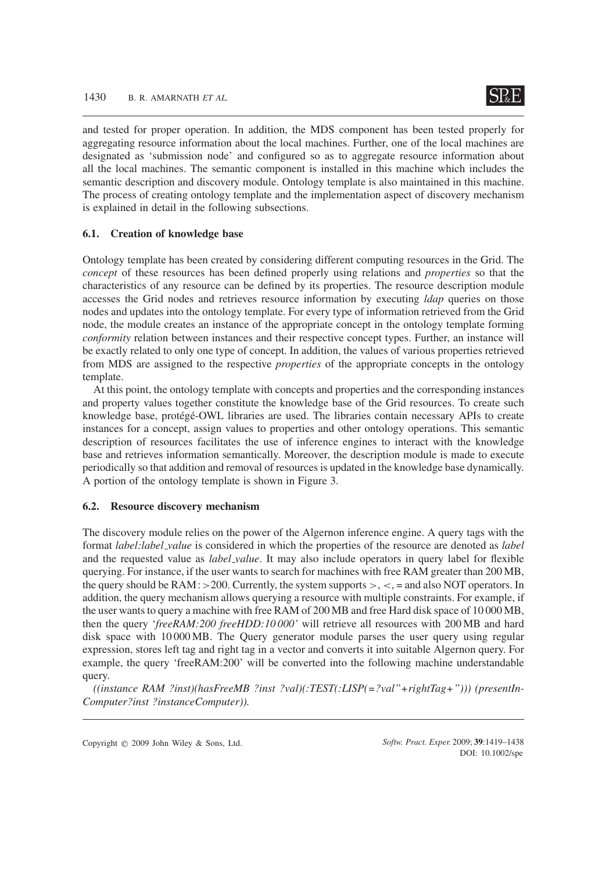and tested for proper operation. In addition, the MDS component has been tested properly for aggregating resource information about the local machines. Further, one of the local machines are designated as 'submission node' and configured so as to aggregate resource information about all the local machines. The semantic component is installed in this machine which includes the semantic description and discovery module. Ontology template is also maintained in this machine. The process of creating ontology template and the implementation aspect of discovery mechanism is explained in detail in the following subsections.

### **6.1. Creation of knowledge base**

Ontology template has been created by considering different computing resources in the Grid. The *concept* of these resources has been defined properly using relations and *properties* so that the characteristics of any resource can be defined by its properties. The resource description module accesses the Grid nodes and retrieves resource information by executing *ldap* queries on those nodes and updates into the ontology template. For every type of information retrieved from the Grid node, the module creates an instance of the appropriate concept in the ontology template forming *conformity* relation between instances and their respective concept types. Further, an instance will be exactly related to only one type of concept. In addition, the values of various properties retrieved from MDS are assigned to the respective *properties* of the appropriate concepts in the ontology template.

At this point, the ontology template with concepts and properties and the corresponding instances and property values together constitute the knowledge base of the Grid resources. To create such knowledge base, protégé-OWL libraries are used. The libraries contain necessary APIs to create instances for a concept, assign values to properties and other ontology operations. This semantic description of resources facilitates the use of inference engines to interact with the knowledge base and retrieves information semantically. Moreover, the description module is made to execute periodically so that addition and removal of resources is updated in the knowledge base dynamically. A portion of the ontology template is shown in Figure 3.

#### **6.2. Resource discovery mechanism**

The discovery module relies on the power of the Algernon inference engine. A query tags with the format *label:label value* is considered in which the properties of the resource are denoted as *label* and the requested value as *label value*. It may also include operators in query label for flexible querying. For instance, if the user wants to search for machines with free RAM greater than 200 MB, the query should be  $RAM: >200$ . Currently, the system supports  $>$ ,  $\lt$ , = and also NOT operators. In addition, the query mechanism allows querying a resource with multiple constraints. For example, if the user wants to query a machine with free RAM of 200 MB and free Hard disk space of 10 000 MB, then the query '*freeRAM:200 freeHDD:10 000'* will retrieve all resources with 200 MB and hard disk space with 10 000 MB. The Query generator module parses the user query using regular expression, stores left tag and right tag in a vector and converts it into suitable Algernon query. For example, the query 'freeRAM:200' will be converted into the following machine understandable query.

*((instance RAM ?inst)(hasFreeMB ?inst ?val)(:TEST(:LISP(=?val"+rightTag+"))) (presentIn-Computer?inst ?instanceComputer)).*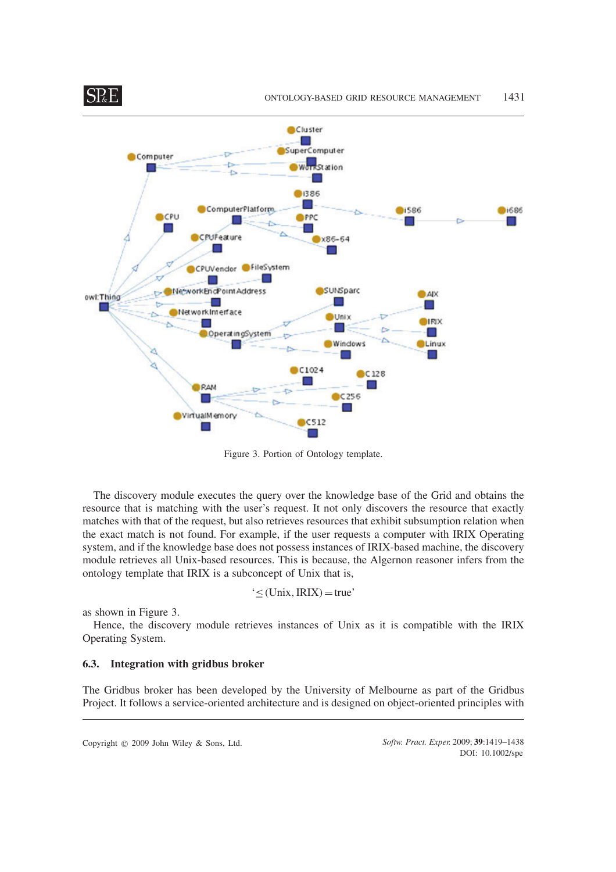



Figure 3. Portion of Ontology template.

The discovery module executes the query over the knowledge base of the Grid and obtains the resource that is matching with the user's request. It not only discovers the resource that exactly matches with that of the request, but also retrieves resources that exhibit subsumption relation when the exact match is not found. For example, if the user requests a computer with IRIX Operating system, and if the knowledge base does not possess instances of IRIX-based machine, the discovery module retrieves all Unix-based resources. This is because, the Algernon reasoner infers from the ontology template that IRIX is a subconcept of Unix that is,

$$
\leq
$$
 (Unix, IRIX) = true'

as shown in Figure 3.

Hence, the discovery module retrieves instances of Unix as it is compatible with the IRIX Operating System.

#### **6.3. Integration with gridbus broker**

The Gridbus broker has been developed by the University of Melbourne as part of the Gridbus Project. It follows a service-oriented architecture and is designed on object-oriented principles with

Copyright 2009 John Wiley & Sons, Ltd. *Softw. Pract. Exper.* 2009; **39**:1419–1438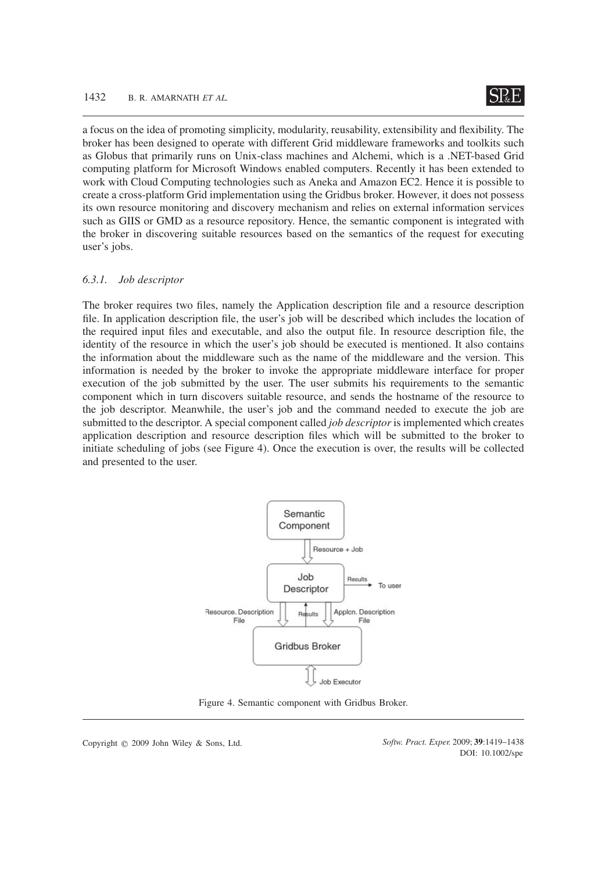a focus on the idea of promoting simplicity, modularity, reusability, extensibility and flexibility. The broker has been designed to operate with different Grid middleware frameworks and toolkits such as Globus that primarily runs on Unix-class machines and Alchemi, which is a .NET-based Grid computing platform for Microsoft Windows enabled computers. Recently it has been extended to work with Cloud Computing technologies such as Aneka and Amazon EC2. Hence it is possible to create a cross-platform Grid implementation using the Gridbus broker. However, it does not possess its own resource monitoring and discovery mechanism and relies on external information services such as GIIS or GMD as a resource repository. Hence, the semantic component is integrated with the broker in discovering suitable resources based on the semantics of the request for executing user's jobs.

#### *6.3.1. Job descriptor*

The broker requires two files, namely the Application description file and a resource description file. In application description file, the user's job will be described which includes the location of the required input files and executable, and also the output file. In resource description file, the identity of the resource in which the user's job should be executed is mentioned. It also contains the information about the middleware such as the name of the middleware and the version. This information is needed by the broker to invoke the appropriate middleware interface for proper execution of the job submitted by the user. The user submits his requirements to the semantic component which in turn discovers suitable resource, and sends the hostname of the resource to the job descriptor. Meanwhile, the user's job and the command needed to execute the job are submitted to the descriptor. A special component called *job descriptor* is implemented which creates application description and resource description files which will be submitted to the broker to initiate scheduling of jobs (see Figure 4). Once the execution is over, the results will be collected and presented to the user.





Copyright 2009 John Wiley & Sons, Ltd. *Softw. Pract. Exper.* 2009; **39**:1419–1438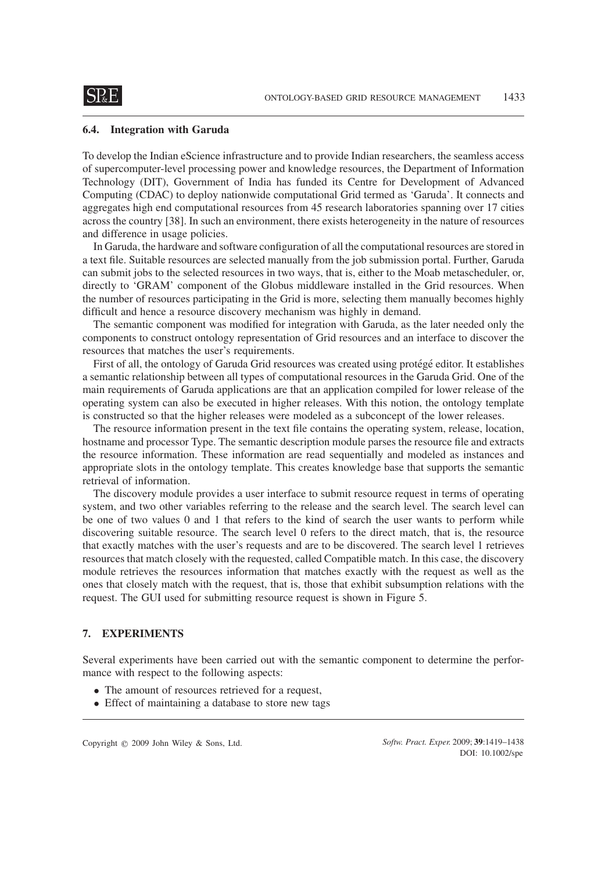

#### **6.4. Integration with Garuda**

To develop the Indian eScience infrastructure and to provide Indian researchers, the seamless access of supercomputer-level processing power and knowledge resources, the Department of Information Technology (DIT), Government of India has funded its Centre for Development of Advanced Computing (CDAC) to deploy nationwide computational Grid termed as 'Garuda'. It connects and aggregates high end computational resources from 45 research laboratories spanning over 17 cities across the country [38]. In such an environment, there exists heterogeneity in the nature of resources and difference in usage policies.

In Garuda, the hardware and software configuration of all the computational resources are stored in a text file. Suitable resources are selected manually from the job submission portal. Further, Garuda can submit jobs to the selected resources in two ways, that is, either to the Moab metascheduler, or, directly to 'GRAM' component of the Globus middleware installed in the Grid resources. When the number of resources participating in the Grid is more, selecting them manually becomes highly difficult and hence a resource discovery mechanism was highly in demand.

The semantic component was modified for integration with Garuda, as the later needed only the components to construct ontology representation of Grid resources and an interface to discover the resources that matches the user's requirements.

First of all, the ontology of Garuda Grid resources was created using protégé editor. It establishes a semantic relationship between all types of computational resources in the Garuda Grid. One of the main requirements of Garuda applications are that an application compiled for lower release of the operating system can also be executed in higher releases. With this notion, the ontology template is constructed so that the higher releases were modeled as a subconcept of the lower releases.

The resource information present in the text file contains the operating system, release, location, hostname and processor Type. The semantic description module parses the resource file and extracts the resource information. These information are read sequentially and modeled as instances and appropriate slots in the ontology template. This creates knowledge base that supports the semantic retrieval of information.

The discovery module provides a user interface to submit resource request in terms of operating system, and two other variables referring to the release and the search level. The search level can be one of two values 0 and 1 that refers to the kind of search the user wants to perform while discovering suitable resource. The search level 0 refers to the direct match, that is, the resource that exactly matches with the user's requests and are to be discovered. The search level 1 retrieves resources that match closely with the requested, called Compatible match. In this case, the discovery module retrieves the resources information that matches exactly with the request as well as the ones that closely match with the request, that is, those that exhibit subsumption relations with the request. The GUI used for submitting resource request is shown in Figure 5.

#### **7. EXPERIMENTS**

Several experiments have been carried out with the semantic component to determine the performance with respect to the following aspects:

- The amount of resources retrieved for a request,
- Effect of maintaining a database to store new tags

Copyright 2009 John Wiley & Sons, Ltd. *Softw. Pract. Exper.* 2009; **39**:1419–1438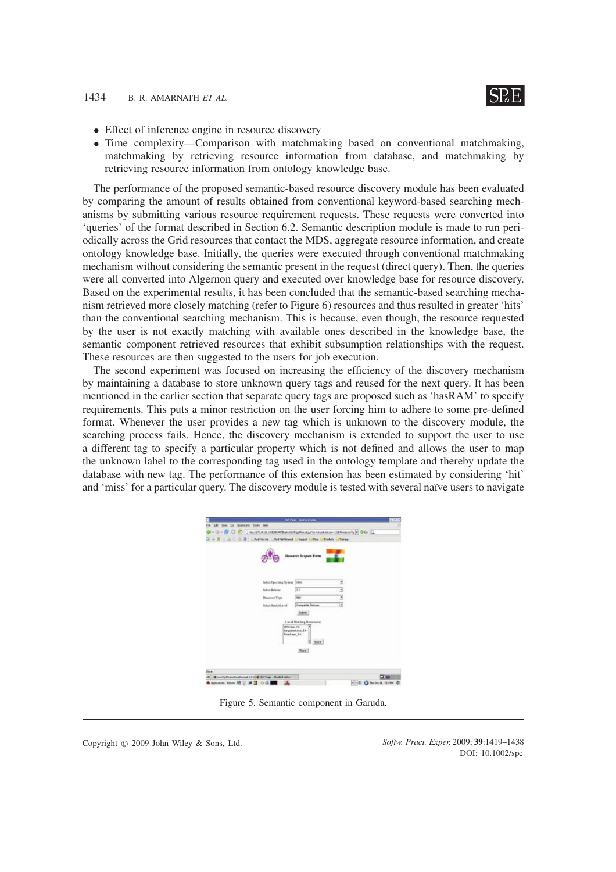- Effect of inference engine in resource discovery
- Time complexity—Comparison with matchmaking based on conventional matchmaking, matchmaking by retrieving resource information from database, and matchmaking by retrieving resource information from ontology knowledge base.

The performance of the proposed semantic-based resource discovery module has been evaluated by comparing the amount of results obtained from conventional keyword-based searching mechanisms by submitting various resource requirement requests. These requests were converted into 'queries' of the format described in Section 6.2. Semantic description module is made to run periodically across the Grid resources that contact the MDS, aggregate resource information, and create ontology knowledge base. Initially, the queries were executed through conventional matchmaking mechanism without considering the semantic present in the request (direct query). Then, the queries were all converted into Algernon query and executed over knowledge base for resource discovery. Based on the experimental results, it has been concluded that the semantic-based searching mechanism retrieved more closely matching (refer to Figure 6) resources and thus resulted in greater 'hits' than the conventional searching mechanism. This is because, even though, the resource requested by the user is not exactly matching with available ones described in the knowledge base, the semantic component retrieved resources that exhibit subsumption relationships with the request. These resources are then suggested to the users for job execution.

The second experiment was focused on increasing the efficiency of the discovery mechanism by maintaining a database to store unknown query tags and reused for the next query. It has been mentioned in the earlier section that separate query tags are proposed such as 'hasRAM' to specify requirements. This puts a minor restriction on the user forcing him to adhere to some pre-defined format. Whenever the user provides a new tag which is unknown to the discovery module, the searching process fails. Hence, the discovery mechanism is extended to support the user to use a different tag to specify a particular property which is not defined and allows the user to map the unknown label to the corresponding tag used in the ontology template and thereby update the database with new tag. The performance of this extension has been estimated by considering 'hit' and 'miss' for a particular query. The discovery module is tested with several naïve users to navigate

|                                       |                                                                               | <b>ISP Face</b> : Number Finds |   | $=10^{\circ}$              |
|---------------------------------------|-------------------------------------------------------------------------------|--------------------------------|---|----------------------------|
| Edi Yew Gr Barimaris Tools Help<br>FW |                                                                               |                                |   |                            |
|                                       | 19 · 4 0 3 0 m (17.8.11.1000MTheir/inflashed.com/ensured.it/home/ts 3 0 to C. |                                |   |                            |
|                                       | □ は A 二 公 二 ① 第   □Ruths, bc __ Ruths fates in Life Shop in Life book Lifeing |                                |   |                            |
|                                       |                                                                               |                                |   |                            |
|                                       |                                                                               |                                |   |                            |
|                                       |                                                                               | Researce Request Form          |   |                            |
|                                       |                                                                               |                                |   |                            |
|                                       |                                                                               |                                |   |                            |
|                                       |                                                                               |                                |   |                            |
|                                       |                                                                               |                                |   |                            |
|                                       | SchorOpennig System   UNO                                                     |                                | Ξ |                            |
|                                       | Schie Release                                                                 | 12                             | 2 |                            |
|                                       | Рекончит Туре                                                                 | <b>IBBUT</b>                   | E |                            |
|                                       | Scien Search Level                                                            | Consultat Retrust              | ы |                            |
|                                       |                                                                               |                                |   |                            |
|                                       |                                                                               | Sabrut                         |   |                            |
|                                       |                                                                               | List of Maching Resources in   |   |                            |
|                                       | MISHW 24                                                                      |                                |   |                            |
|                                       | Panel.nas.24                                                                  | <b>Excelentina 24</b>          |   |                            |
|                                       |                                                                               |                                |   |                            |
|                                       |                                                                               | Sekit<br>9                     |   |                            |
|                                       |                                                                               | <b>Best</b>                    |   |                            |
|                                       |                                                                               |                                |   |                            |
|                                       |                                                                               |                                |   |                            |
|                                       |                                                                               |                                |   |                            |
| <b>Done</b>                           |                                                                               |                                |   |                            |
|                                       | Breathph Luciosatoma Lt.2 & JSP Page - Masta Feder                            |                                |   | - 20                       |
| Acotumes Attorn 1-3 11 IF             |                                                                               |                                |   | -- 01 @ Thu Doc 14, 725 PM |

Figure 5. Semantic component in Garuda.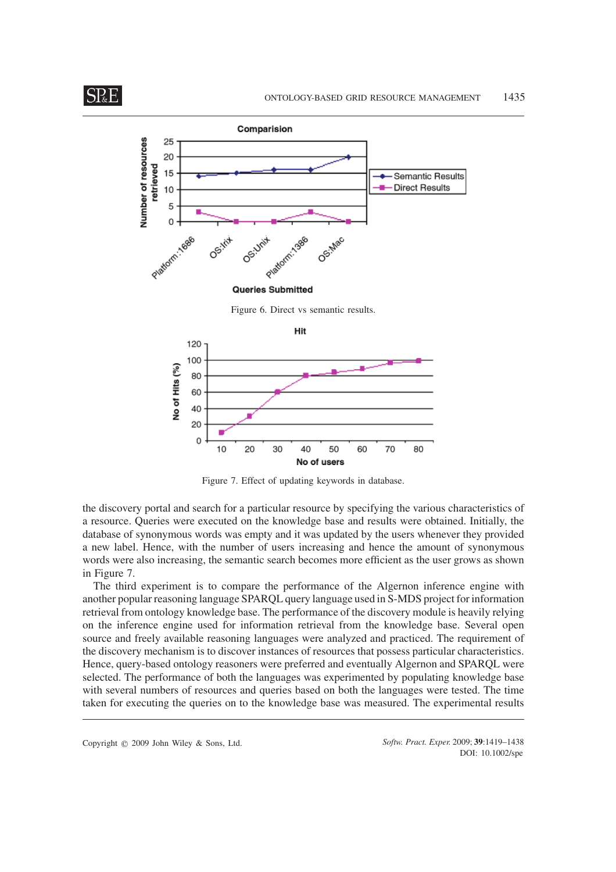

Figure 6. Direct vs semantic results.



Figure 7. Effect of updating keywords in database.

the discovery portal and search for a particular resource by specifying the various characteristics of a resource. Queries were executed on the knowledge base and results were obtained. Initially, the database of synonymous words was empty and it was updated by the users whenever they provided a new label. Hence, with the number of users increasing and hence the amount of synonymous words were also increasing, the semantic search becomes more efficient as the user grows as shown in Figure 7.

The third experiment is to compare the performance of the Algernon inference engine with another popular reasoning language SPARQL query language used in S-MDS project for information retrieval from ontology knowledge base. The performance of the discovery module is heavily relying on the inference engine used for information retrieval from the knowledge base. Several open source and freely available reasoning languages were analyzed and practiced. The requirement of the discovery mechanism is to discover instances of resources that possess particular characteristics. Hence, query-based ontology reasoners were preferred and eventually Algernon and SPARQL were selected. The performance of both the languages was experimented by populating knowledge base with several numbers of resources and queries based on both the languages were tested. The time taken for executing the queries on to the knowledge base was measured. The experimental results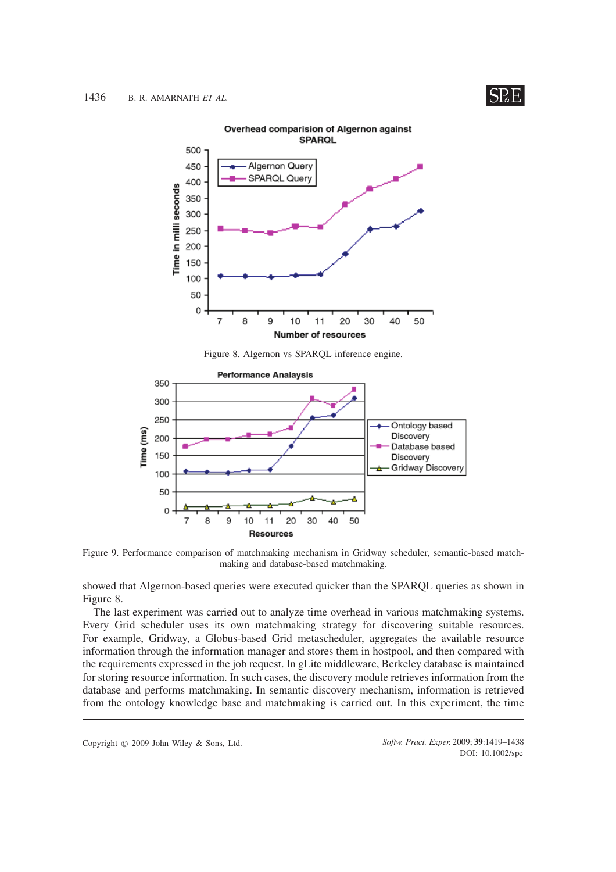



Figure 8. Algernon vs SPARQL inference engine.



Figure 9. Performance comparison of matchmaking mechanism in Gridway scheduler, semantic-based matchmaking and database-based matchmaking.

showed that Algernon-based queries were executed quicker than the SPARQL queries as shown in Figure 8.

The last experiment was carried out to analyze time overhead in various matchmaking systems. Every Grid scheduler uses its own matchmaking strategy for discovering suitable resources. For example, Gridway, a Globus-based Grid metascheduler, aggregates the available resource information through the information manager and stores them in hostpool, and then compared with the requirements expressed in the job request. In gLite middleware, Berkeley database is maintained for storing resource information. In such cases, the discovery module retrieves information from the database and performs matchmaking. In semantic discovery mechanism, information is retrieved from the ontology knowledge base and matchmaking is carried out. In this experiment, the time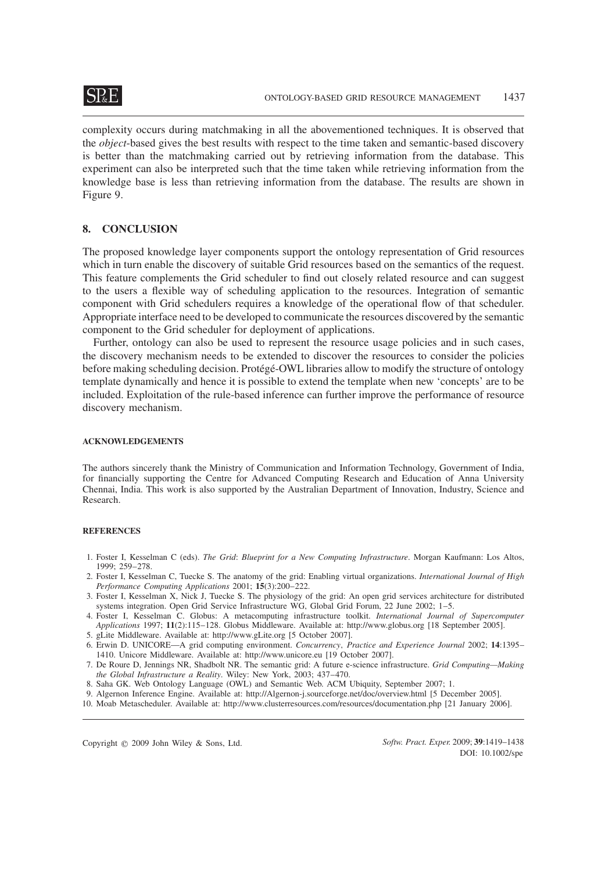complexity occurs during matchmaking in all the abovementioned techniques. It is observed that the *object*-based gives the best results with respect to the time taken and semantic-based discovery is better than the matchmaking carried out by retrieving information from the database. This experiment can also be interpreted such that the time taken while retrieving information from the knowledge base is less than retrieving information from the database. The results are shown in Figure 9.

## **8. CONCLUSION**

The proposed knowledge layer components support the ontology representation of Grid resources which in turn enable the discovery of suitable Grid resources based on the semantics of the request. This feature complements the Grid scheduler to find out closely related resource and can suggest to the users a flexible way of scheduling application to the resources. Integration of semantic component with Grid schedulers requires a knowledge of the operational flow of that scheduler. Appropriate interface need to be developed to communicate the resources discovered by the semantic component to the Grid scheduler for deployment of applications.

Further, ontology can also be used to represent the resource usage policies and in such cases, the discovery mechanism needs to be extended to discover the resources to consider the policies before making scheduling decision. Protégé-OWL libraries allow to modify the structure of ontology template dynamically and hence it is possible to extend the template when new 'concepts' are to be included. Exploitation of the rule-based inference can further improve the performance of resource discovery mechanism.

#### **ACKNOWLEDGEMENTS**

The authors sincerely thank the Ministry of Communication and Information Technology, Government of India, for financially supporting the Centre for Advanced Computing Research and Education of Anna University Chennai, India. This work is also supported by the Australian Department of Innovation, Industry, Science and Research.

#### **REFERENCES**

- 1. Foster I, Kesselman C (eds). *The Grid*: *Blueprint for a New Computing Infrastructure*. Morgan Kaufmann: Los Altos, 1999; 259–278.
- 2. Foster I, Kesselman C, Tuecke S. The anatomy of the grid: Enabling virtual organizations. *International Journal of High Performance Computing Applications* 2001; **15**(3):200–222.
- 3. Foster I, Kesselman X, Nick J, Tuecke S. The physiology of the grid: An open grid services architecture for distributed systems integration. Open Grid Service Infrastructure WG, Global Grid Forum, 22 June 2002; 1–5.
- 4. Foster I, Kesselman C. Globus: A metacomputing infrastructure toolkit. *International Journal of Supercomputer Applications* 1997; **11**(2):115–128. Globus Middleware. Available at: http://www.globus.org [18 September 2005].
- 5. gLite Middleware. Available at: http://www.gLite.org [5 October 2007].
- 6. Erwin D. UNICORE—A grid computing environment. *Concurrency*, *Practice and Experience Journal* 2002; **14**:1395– 1410. Unicore Middleware. Available at: http://www.unicore.eu [19 October 2007].
- 7. De Roure D, Jennings NR, Shadbolt NR. The semantic grid: A future e-science infrastructure. *Grid Computing—Making the Global Infrastructure a Reality*. Wiley: New York, 2003; 437–470.
- 8. Saha GK. Web Ontology Language (OWL) and Semantic Web. ACM Ubiquity, September 2007; 1.
- 9. Algernon Inference Engine. Available at: http://Algernon-j.sourceforge.net/doc/overview.html [5 December 2005].
- 10. Moab Metascheduler. Available at: http://www.clusterresources.com/resources/documentation.php [21 January 2006].